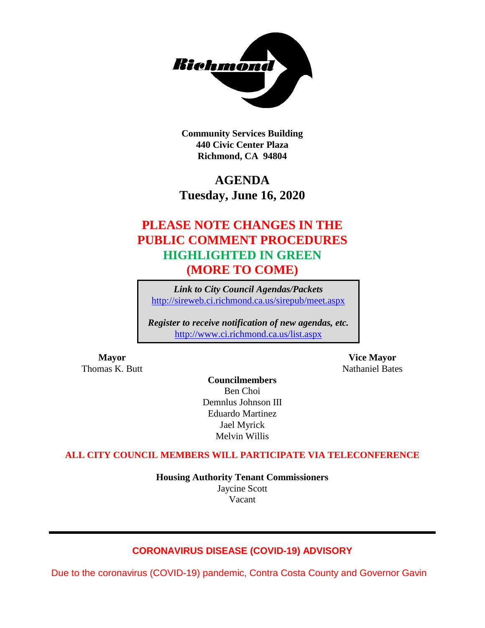

**Community Services Building 440 Civic Center Plaza Richmond, CA 94804**

## **AGENDA Tuesday, June 16, 2020**

## **PLEASE NOTE CHANGES IN THE PUBLIC COMMENT PROCEDURES HIGHLIGHTED IN GREEN (MORE TO COME)**

*Link to City Council Agendas/Packets* <http://sireweb.ci.richmond.ca.us/sirepub/meet.aspx>

*Register to receive notification of new agendas, etc.* <http://www.ci.richmond.ca.us/list.aspx>

Thomas K. Butt Nathaniel Bates

**Mayor Vice Mayor**

**Councilmembers** Ben Choi Demnlus Johnson III Eduardo Martinez Jael Myrick Melvin Willis

#### **ALL CITY COUNCIL MEMBERS WILL PARTICIPATE VIA TELECONFERENCE**

**Housing Authority Tenant Commissioners** Jaycine Scott Vacant

## **CORONAVIRUS DISEASE (COVID-19) ADVISORY**

Due to the coronavirus (COVID-19) pandemic, Contra Costa County and Governor Gavin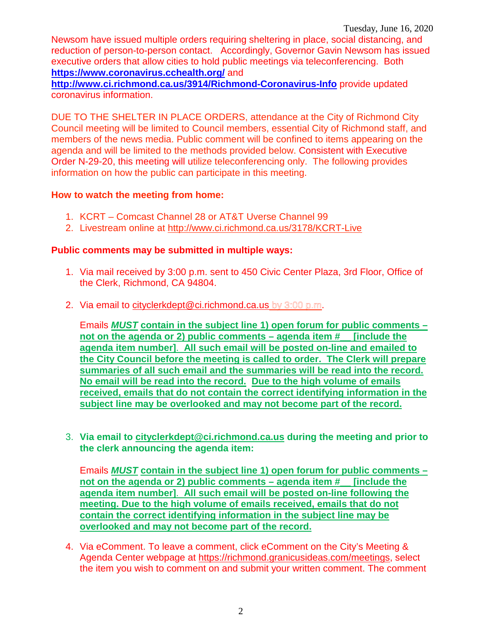Newsom have issued multiple orders requiring sheltering in place, social distancing, and reduction of person-to-person contact. Accordingly, Governor Gavin Newsom has issued executive orders that allow cities to hold public meetings via teleconferencing. Both **<https://www.coronavirus.cchealth.org/>** and

**<http://www.ci.richmond.ca.us/3914/Richmond-Coronavirus-Info>** provide updated coronavirus information.

DUE TO THE SHELTER IN PLACE ORDERS, attendance at the City of Richmond City Council meeting will be limited to Council members, essential City of Richmond staff, and members of the news media. Public comment will be confined to items appearing on the agenda and will be limited to the methods provided below. Consistent with Executive Order N-29-20, this meeting will utilize teleconferencing only. The following provides information on how the public can participate in this meeting.

## **How to watch the meeting from home:**

- 1. KCRT Comcast Channel 28 or AT&T Uverse Channel 99
- 2. Livestream online at<http://www.ci.richmond.ca.us/3178/KCRT-Live>

## **Public comments may be submitted in multiple ways:**

- 1. Via mail received by 3:00 p.m. sent to 450 Civic Center Plaza, 3rd Floor, Office of the Clerk, Richmond, CA 94804.
- 2. Via email to [cityclerkdept@ci.richmond.ca.us](mailto:cityclerkdept@ci.richmond.ca.us) by 3:00 p.m.

Emails *MUST* **contain in the subject line 1) open forum for public comments – not on the agenda or 2) public comments – agenda item #\_\_ [include the agenda item number]**. **All such email will be posted on-line and emailed to the City Council before the meeting is called to order. The Clerk will prepare summaries of all such email and the summaries will be read into the record. No email will be read into the record. Due to the high volume of emails received, emails that do not contain the correct identifying information in the subject line may be overlooked and may not become part of the record.**

3. **Via email to [cityclerkdept@ci.richmond.ca.us](mailto:cityclerkdept@ci.richmond.ca.us) during the meeting and prior to the clerk announcing the agenda item:**

Emails *MUST* **contain in the subject line 1) open forum for public comments – not on the agenda or 2) public comments – agenda item #\_\_ [include the agenda item number]**. **All such email will be posted on-line following the meeting. Due to the high volume of emails received, emails that do not contain the correct identifying information in the subject line may be overlooked and may not become part of the record.**

4. Via eComment. To leave a comment, click eComment on the City's Meeting & Agenda Center webpage at [https://richmond.granicusideas.com/meetings,](https://richmond.granicusideas.com/meetings) select the item you wish to comment on and submit your written comment. The comment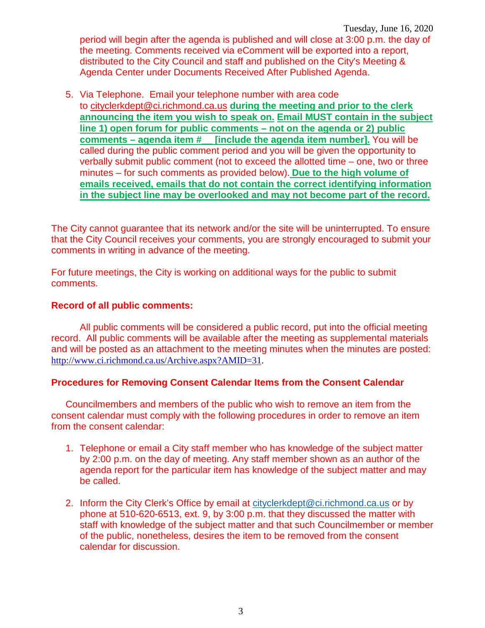Tuesday, June 16, 2020 period will begin after the agenda is published and will close at 3:00 p.m. the day of the meeting. Comments received via eComment will be exported into a report, distributed to the City Council and staff and published on the City's Meeting & Agenda Center under Documents Received After Published Agenda.

5. Via Telephone. Email your telephone number with area code to [cityclerkdept@ci.richmond.ca.us](mailto:cityclerkdept@ci.richmond.ca.us) **during the meeting and prior to the clerk announcing the item you wish to speak on. Email MUST contain in the subject line 1) open forum for public comments – not on the agenda or 2) public comments – agenda item #\_\_ [include the agenda item number].** You will be called during the public comment period and you will be given the opportunity to verbally submit public comment (not to exceed the allotted time – one, two or three minutes – for such comments as provided below). **Due to the high volume of emails received, emails that do not contain the correct identifying information in the subject line may be overlooked and may not become part of the record.**

The City cannot guarantee that its network and/or the site will be uninterrupted. To ensure that the City Council receives your comments, you are strongly encouraged to submit your comments in writing in advance of the meeting.

For future meetings, the City is working on additional ways for the public to submit comments.

#### **Record of all public comments:**

All public comments will be considered a public record, put into the official meeting record. All public comments will be available after the meeting as supplemental materials and will be posted as an attachment to the meeting minutes when the minutes are posted: [http://www.ci.richmond.ca.us/Archive.aspx?AMID=31.](http://www.ci.richmond.ca.us/Archive.aspx?AMID=31)

#### **Procedures for Removing Consent Calendar Items from the Consent Calendar**

Councilmembers and members of the public who wish to remove an item from the consent calendar must comply with the following procedures in order to remove an item from the consent calendar:

- 1. Telephone or email a City staff member who has knowledge of the subject matter by 2:00 p.m. on the day of meeting. Any staff member shown as an author of the agenda report for the particular item has knowledge of the subject matter and may be called.
- 2. Inform the City Clerk's Office by email at [cityclerkdept@ci.richmond.ca.us](mailto:cityclerkdept@ci.richmond.ca.us) or by phone at 510-620-6513, ext. 9, by 3:00 p.m. that they discussed the matter with staff with knowledge of the subject matter and that such Councilmember or member of the public, nonetheless, desires the item to be removed from the consent calendar for discussion.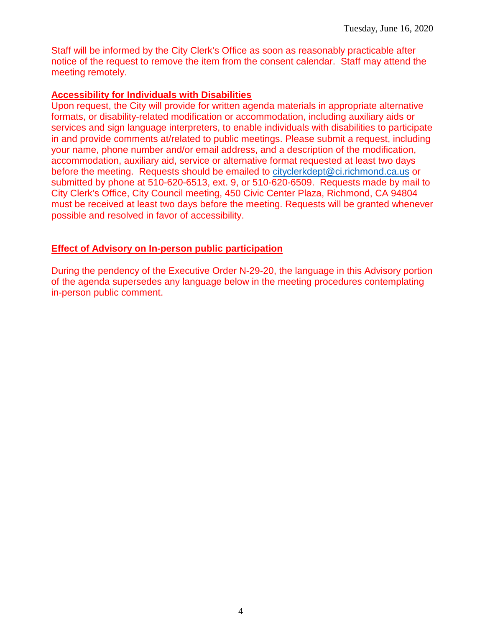Staff will be informed by the City Clerk's Office as soon as reasonably practicable after notice of the request to remove the item from the consent calendar. Staff may attend the meeting remotely.

#### **Accessibility for Individuals with Disabilities**

Upon request, the City will provide for written agenda materials in appropriate alternative formats, or disability-related modification or accommodation, including auxiliary aids or services and sign language interpreters, to enable individuals with disabilities to participate in and provide comments at/related to public meetings. Please submit a request, including your name, phone number and/or email address, and a description of the modification, accommodation, auxiliary aid, service or alternative format requested at least two days before the meeting. Requests should be emailed to [cityclerkdept@ci.richmond.ca.us](mailto:cityclerkdept@ci.richmond.ca.us) or submitted by phone at 510-620-6513, ext. 9, or 510-620-6509. Requests made by mail to City Clerk's Office, City Council meeting, 450 Civic Center Plaza, Richmond, CA 94804 must be received at least two days before the meeting. Requests will be granted whenever possible and resolved in favor of accessibility.

## **Effect of Advisory on In-person public participation**

During the pendency of the Executive Order N-29-20, the language in this Advisory portion of the agenda supersedes any language below in the meeting procedures contemplating in-person public comment.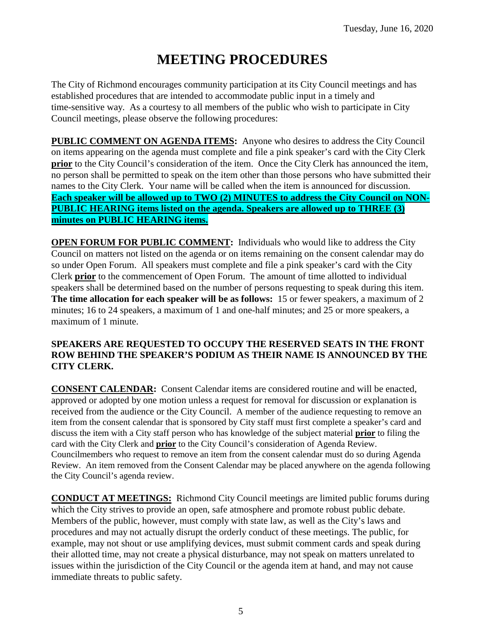# **MEETING PROCEDURES**

The City of Richmond encourages community participation at its City Council meetings and has established procedures that are intended to accommodate public input in a timely and time-sensitive way. As a courtesy to all members of the public who wish to participate in City Council meetings, please observe the following procedures:

**PUBLIC COMMENT ON AGENDA ITEMS:** Anyone who desires to address the City Council on items appearing on the agenda must complete and file a pink speaker's card with the City Clerk **prior** to the City Council's consideration of the item. Once the City Clerk has announced the item, no person shall be permitted to speak on the item other than those persons who have submitted their names to the City Clerk. Your name will be called when the item is announced for discussion. **Each speaker will be allowed up to TWO (2) MINUTES to address the City Council on NON-PUBLIC HEARING items listed on the agenda. Speakers are allowed up to THREE (3) minutes on PUBLIC HEARING items.**

**OPEN FORUM FOR PUBLIC COMMENT:** Individuals who would like to address the City Council on matters not listed on the agenda or on items remaining on the consent calendar may do so under Open Forum. All speakers must complete and file a pink speaker's card with the City Clerk **prior** to the commencement of Open Forum. The amount of time allotted to individual speakers shall be determined based on the number of persons requesting to speak during this item. **The time allocation for each speaker will be as follows:** 15 or fewer speakers, a maximum of 2 minutes; 16 to 24 speakers, a maximum of 1 and one-half minutes; and 25 or more speakers, a maximum of 1 minute.

#### **SPEAKERS ARE REQUESTED TO OCCUPY THE RESERVED SEATS IN THE FRONT ROW BEHIND THE SPEAKER'S PODIUM AS THEIR NAME IS ANNOUNCED BY THE CITY CLERK.**

**CONSENT CALENDAR:** Consent Calendar items are considered routine and will be enacted, approved or adopted by one motion unless a request for removal for discussion or explanation is received from the audience or the City Council. A member of the audience requesting to remove an item from the consent calendar that is sponsored by City staff must first complete a speaker's card and discuss the item with a City staff person who has knowledge of the subject material **prior** to filing the card with the City Clerk and **prior** to the City Council's consideration of Agenda Review. Councilmembers who request to remove an item from the consent calendar must do so during Agenda Review. An item removed from the Consent Calendar may be placed anywhere on the agenda following the City Council's agenda review.

**CONDUCT AT MEETINGS:** Richmond City Council meetings are limited public forums during which the City strives to provide an open, safe atmosphere and promote robust public debate. Members of the public, however, must comply with state law, as well as the City's laws and procedures and may not actually disrupt the orderly conduct of these meetings. The public, for example, may not shout or use amplifying devices, must submit comment cards and speak during their allotted time, may not create a physical disturbance, may not speak on matters unrelated to issues within the jurisdiction of the City Council or the agenda item at hand, and may not cause immediate threats to public safety.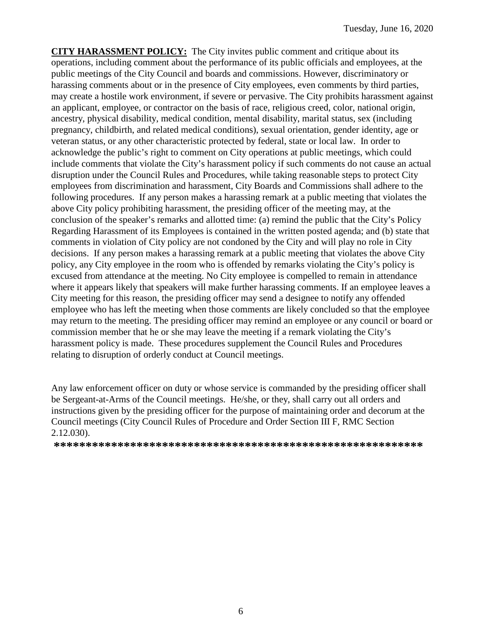**CITY HARASSMENT POLICY:** The City invites public comment and critique about its operations, including comment about the performance of its public officials and employees, at the public meetings of the City Council and boards and commissions. However, discriminatory or harassing comments about or in the presence of City employees, even comments by third parties, may create a hostile work environment, if severe or pervasive. The City prohibits harassment against an applicant, employee, or contractor on the basis of race, religious creed, color, national origin, ancestry, physical disability, medical condition, mental disability, marital status, sex (including pregnancy, childbirth, and related medical conditions), sexual orientation, gender identity, age or veteran status, or any other characteristic protected by federal, state or local law. In order to acknowledge the public's right to comment on City operations at public meetings, which could include comments that violate the City's harassment policy if such comments do not cause an actual disruption under the Council Rules and Procedures, while taking reasonable steps to protect City employees from discrimination and harassment, City Boards and Commissions shall adhere to the following procedures. If any person makes a harassing remark at a public meeting that violates the above City policy prohibiting harassment, the presiding officer of the meeting may, at the conclusion of the speaker's remarks and allotted time: (a) remind the public that the City's Policy Regarding Harassment of its Employees is contained in the written posted agenda; and (b) state that comments in violation of City policy are not condoned by the City and will play no role in City decisions. If any person makes a harassing remark at a public meeting that violates the above City policy, any City employee in the room who is offended by remarks violating the City's policy is excused from attendance at the meeting. No City employee is compelled to remain in attendance where it appears likely that speakers will make further harassing comments. If an employee leaves a City meeting for this reason, the presiding officer may send a designee to notify any offended employee who has left the meeting when those comments are likely concluded so that the employee may return to the meeting. The presiding officer may remind an employee or any council or board or commission member that he or she may leave the meeting if a remark violating the City's harassment policy is made. These procedures supplement the Council Rules and Procedures relating to disruption of orderly conduct at Council meetings.

Any law enforcement officer on duty or whose service is commanded by the presiding officer shall be Sergeant-at-Arms of the Council meetings. He/she, or they, shall carry out all orders and instructions given by the presiding officer for the purpose of maintaining order and decorum at the Council meetings (City Council Rules of Procedure and Order Section III F, RMC Section 2.12.030).

**\*\*\*\*\*\*\*\*\*\*\*\*\*\*\*\*\*\*\*\*\*\*\*\*\*\*\*\*\*\*\*\*\*\*\*\*\*\*\*\*\*\*\*\*\*\*\*\*\*\*\*\*\*\*\*\*\*\***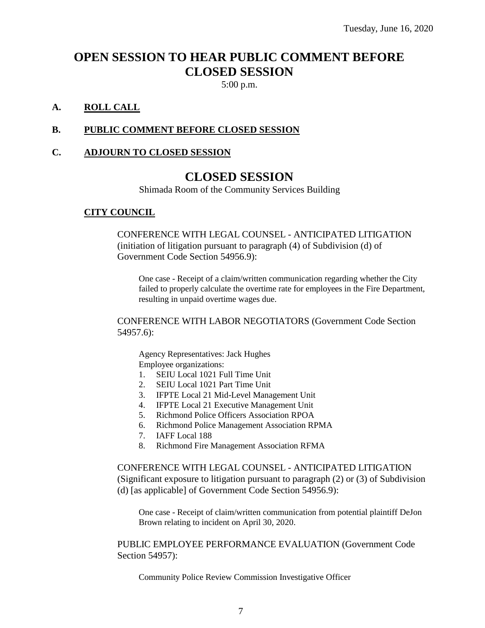## **OPEN SESSION TO HEAR PUBLIC COMMENT BEFORE CLOSED SESSION**

5:00 p.m.

## **A. ROLL CALL**

#### **B. PUBLIC COMMENT BEFORE CLOSED SESSION**

#### **C. ADJOURN TO CLOSED SESSION**

## **CLOSED SESSION**

Shimada Room of the Community Services Building

#### **CITY COUNCIL**

CONFERENCE WITH LEGAL COUNSEL - ANTICIPATED LITIGATION (initiation of litigation pursuant to paragraph (4) of Subdivision (d) of Government Code Section 54956.9):

One case - Receipt of a claim/written communication regarding whether the City failed to properly calculate the overtime rate for employees in the Fire Department, resulting in unpaid overtime wages due.

CONFERENCE WITH LABOR NEGOTIATORS (Government Code Section 54957.6):

Agency Representatives: Jack Hughes Employee organizations:

- 1. SEIU Local 1021 Full Time Unit
- 2. SEIU Local 1021 Part Time Unit
- 3. IFPTE Local 21 Mid-Level Management Unit
- 4. IFPTE Local 21 Executive Management Unit
- 5. Richmond Police Officers Association RPOA
- 6. Richmond Police Management Association RPMA
- 7. IAFF Local 188
- 8. Richmond Fire Management Association RFMA

CONFERENCE WITH LEGAL COUNSEL - ANTICIPATED LITIGATION (Significant exposure to litigation pursuant to paragraph (2) or (3) of Subdivision (d) [as applicable] of Government Code Section 54956.9):

One case - Receipt of claim/written communication from potential plaintiff DeJon Brown relating to incident on April 30, 2020.

PUBLIC EMPLOYEE PERFORMANCE EVALUATION (Government Code Section 54957):

Community Police Review Commission Investigative Officer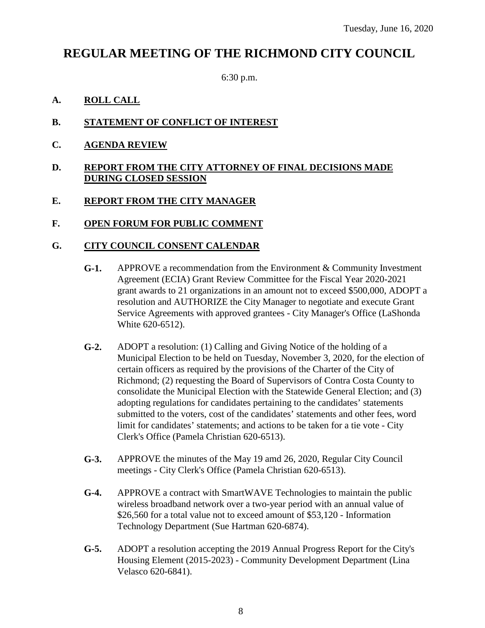## **REGULAR MEETING OF THE RICHMOND CITY COUNCIL**

6:30 p.m.

## **A. ROLL CALL**

## **B. STATEMENT OF CONFLICT OF INTEREST**

**C. AGENDA REVIEW**

#### **D. REPORT FROM THE CITY ATTORNEY OF FINAL DECISIONS MADE DURING CLOSED SESSION**

## **E. REPORT FROM THE CITY MANAGER**

#### **F. OPEN FORUM FOR PUBLIC COMMENT**

#### **G. CITY COUNCIL CONSENT CALENDAR**

- **G-1.** APPROVE a recommendation from the Environment & Community Investment Agreement (ECIA) Grant Review Committee for the Fiscal Year 2020-2021 grant awards to 21 organizations in an amount not to exceed \$500,000, ADOPT a resolution and AUTHORIZE the City Manager to negotiate and execute Grant Service Agreements with approved grantees - City Manager's Office (LaShonda White 620-6512).
- **G-2.** ADOPT a resolution: (1) Calling and Giving Notice of the holding of a Municipal Election to be held on Tuesday, November 3, 2020, for the election of certain officers as required by the provisions of the Charter of the City of Richmond; (2) requesting the Board of Supervisors of Contra Costa County to consolidate the Municipal Election with the Statewide General Election; and (3) adopting regulations for candidates pertaining to the candidates' statements submitted to the voters, cost of the candidates' statements and other fees, word limit for candidates' statements; and actions to be taken for a tie vote - City Clerk's Office (Pamela Christian 620-6513).
- **G-3.** APPROVE the minutes of the May 19 amd 26, 2020, Regular City Council meetings - City Clerk's Office (Pamela Christian 620-6513).
- **G-4.** APPROVE a contract with SmartWAVE Technologies to maintain the public wireless broadband network over a two-year period with an annual value of \$26,560 for a total value not to exceed amount of \$53,120 - Information Technology Department (Sue Hartman 620-6874).
- **G-5.** ADOPT a resolution accepting the 2019 Annual Progress Report for the City's Housing Element (2015-2023) - Community Development Department (Lina Velasco 620-6841).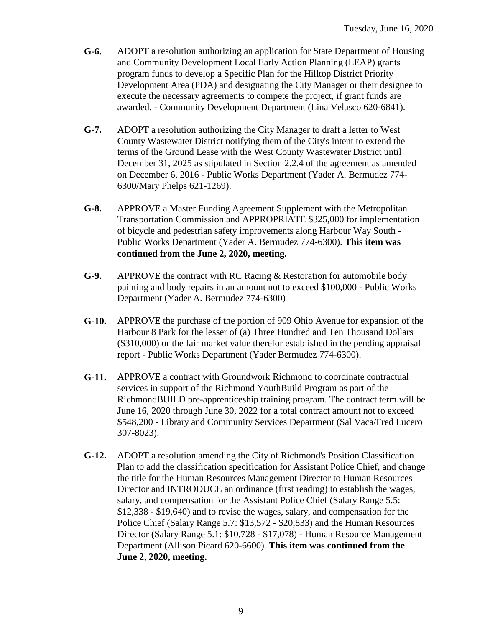- **G-6.** ADOPT a resolution authorizing an application for State Department of Housing and Community Development Local Early Action Planning (LEAP) grants program funds to develop a Specific Plan for the Hilltop District Priority Development Area (PDA) and designating the City Manager or their designee to execute the necessary agreements to compete the project, if grant funds are awarded. - Community Development Department (Lina Velasco 620-6841).
- **G-7.** ADOPT a resolution authorizing the City Manager to draft a letter to West County Wastewater District notifying them of the City's intent to extend the terms of the Ground Lease with the West County Wastewater District until December 31, 2025 as stipulated in Section 2.2.4 of the agreement as amended on December 6, 2016 - Public Works Department (Yader A. Bermudez 774- 6300/Mary Phelps 621-1269).
- **G-8.** APPROVE a Master Funding Agreement Supplement with the Metropolitan Transportation Commission and APPROPRIATE \$325,000 for implementation of bicycle and pedestrian safety improvements along Harbour Way South - Public Works Department (Yader A. Bermudez 774-6300). **This item was continued from the June 2, 2020, meeting.**
- **G-9.** APPROVE the contract with RC Racing & Restoration for automobile body painting and body repairs in an amount not to exceed \$100,000 - Public Works Department (Yader A. Bermudez 774-6300)
- **G-10.** APPROVE the purchase of the portion of 909 Ohio Avenue for expansion of the Harbour 8 Park for the lesser of (a) Three Hundred and Ten Thousand Dollars (\$310,000) or the fair market value therefor established in the pending appraisal report - Public Works Department (Yader Bermudez 774-6300).
- **G-11.** APPROVE a contract with Groundwork Richmond to coordinate contractual services in support of the Richmond YouthBuild Program as part of the RichmondBUILD pre-apprenticeship training program. The contract term will be June 16, 2020 through June 30, 2022 for a total contract amount not to exceed \$548,200 - Library and Community Services Department (Sal Vaca/Fred Lucero 307-8023).
- **G-12.** ADOPT a resolution amending the City of Richmond's Position Classification Plan to add the classification specification for Assistant Police Chief, and change the title for the Human Resources Management Director to Human Resources Director and INTRODUCE an ordinance (first reading) to establish the wages, salary, and compensation for the Assistant Police Chief (Salary Range 5.5: \$12,338 - \$19,640) and to revise the wages, salary, and compensation for the Police Chief (Salary Range 5.7: \$13,572 - \$20,833) and the Human Resources Director (Salary Range 5.1: \$10,728 - \$17,078) - Human Resource Management Department (Allison Picard 620-6600). **This item was continued from the June 2, 2020, meeting.**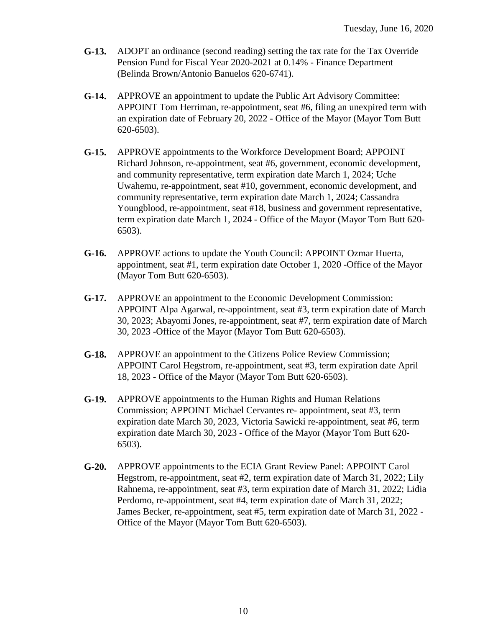- **G-13.** ADOPT an ordinance (second reading) setting the tax rate for the Tax Override Pension Fund for Fiscal Year 2020-2021 at 0.14% - Finance Department (Belinda Brown/Antonio Banuelos 620-6741).
- **G-14.** APPROVE an appointment to update the Public Art Advisory Committee: APPOINT Tom Herriman, re-appointment, seat #6, filing an unexpired term with an expiration date of February 20, 2022 - Office of the Mayor (Mayor Tom Butt 620-6503).
- **G-15.** APPROVE appointments to the Workforce Development Board; APPOINT Richard Johnson, re-appointment, seat #6, government, economic development, and community representative, term expiration date March 1, 2024; Uche Uwahemu, re-appointment, seat #10, government, economic development, and community representative, term expiration date March 1, 2024; Cassandra Youngblood, re-appointment, seat #18, business and government representative, term expiration date March 1, 2024 - Office of the Mayor (Mayor Tom Butt 620- 6503).
- **G-16.** APPROVE actions to update the Youth Council: APPOINT Ozmar Huerta, appointment, seat #1, term expiration date October 1, 2020 -Office of the Mayor (Mayor Tom Butt 620-6503).
- **G-17.** APPROVE an appointment to the Economic Development Commission: APPOINT Alpa Agarwal, re-appointment, seat #3, term expiration date of March 30, 2023; Abayomi Jones, re-appointment, seat #7, term expiration date of March 30, 2023 -Office of the Mayor (Mayor Tom Butt 620-6503).
- **G-18.** APPROVE an appointment to the Citizens Police Review Commission; APPOINT Carol Hegstrom, re-appointment, seat #3, term expiration date April 18, 2023 - Office of the Mayor (Mayor Tom Butt 620-6503).
- **G-19.** APPROVE appointments to the Human Rights and Human Relations Commission; APPOINT Michael Cervantes re- appointment, seat #3, term expiration date March 30, 2023, Victoria Sawicki re-appointment, seat #6, term expiration date March 30, 2023 - Office of the Mayor (Mayor Tom Butt 620- 6503).
- **G-20.** APPROVE appointments to the ECIA Grant Review Panel: APPOINT Carol Hegstrom, re-appointment, seat #2, term expiration date of March 31, 2022; Lily Rahnema, re-appointment, seat #3, term expiration date of March 31, 2022; Lidia Perdomo, re-appointment, seat #4, term expiration date of March 31, 2022; James Becker, re-appointment, seat #5, term expiration date of March 31, 2022 - Office of the Mayor (Mayor Tom Butt 620-6503).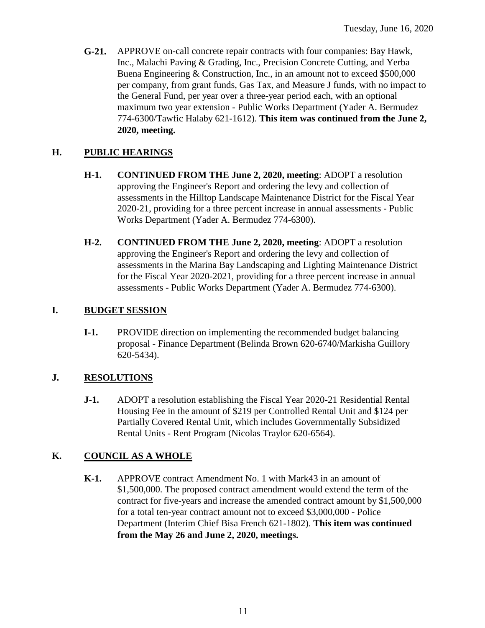**G-21.** APPROVE on-call concrete repair contracts with four companies: Bay Hawk, Inc., Malachi Paving & Grading, Inc., Precision Concrete Cutting, and Yerba Buena Engineering & Construction, Inc., in an amount not to exceed \$500,000 per company, from grant funds, Gas Tax, and Measure J funds, with no impact to the General Fund, per year over a three-year period each, with an optional maximum two year extension - Public Works Department (Yader A. Bermudez 774-6300/Tawfic Halaby 621-1612). **This item was continued from the June 2, 2020, meeting.**

## **H. PUBLIC HEARINGS**

- **H-1. CONTINUED FROM THE June 2, 2020, meeting**: ADOPT a resolution approving the Engineer's Report and ordering the levy and collection of assessments in the Hilltop Landscape Maintenance District for the Fiscal Year 2020-21, providing for a three percent increase in annual assessments - Public Works Department (Yader A. Bermudez 774-6300).
- **H-2. CONTINUED FROM THE June 2, 2020, meeting**: ADOPT a resolution approving the Engineer's Report and ordering the levy and collection of assessments in the Marina Bay Landscaping and Lighting Maintenance District for the Fiscal Year 2020-2021, providing for a three percent increase in annual assessments - Public Works Department (Yader A. Bermudez 774-6300).

## **I. BUDGET SESSION**

**I-1.** PROVIDE direction on implementing the recommended budget balancing proposal - Finance Department (Belinda Brown 620-6740/Markisha Guillory 620-5434).

## **J. RESOLUTIONS**

**J-1.** ADOPT a resolution establishing the Fiscal Year 2020-21 Residential Rental Housing Fee in the amount of \$219 per Controlled Rental Unit and \$124 per Partially Covered Rental Unit, which includes Governmentally Subsidized Rental Units - Rent Program (Nicolas Traylor 620-6564).

## **K. COUNCIL AS A WHOLE**

**K-1.** APPROVE contract Amendment No. 1 with Mark43 in an amount of \$1,500,000. The proposed contract amendment would extend the term of the contract for five-years and increase the amended contract amount by \$1,500,000 for a total ten-year contract amount not to exceed \$3,000,000 - Police Department (Interim Chief Bisa French 621-1802). **This item was continued from the May 26 and June 2, 2020, meetings.**